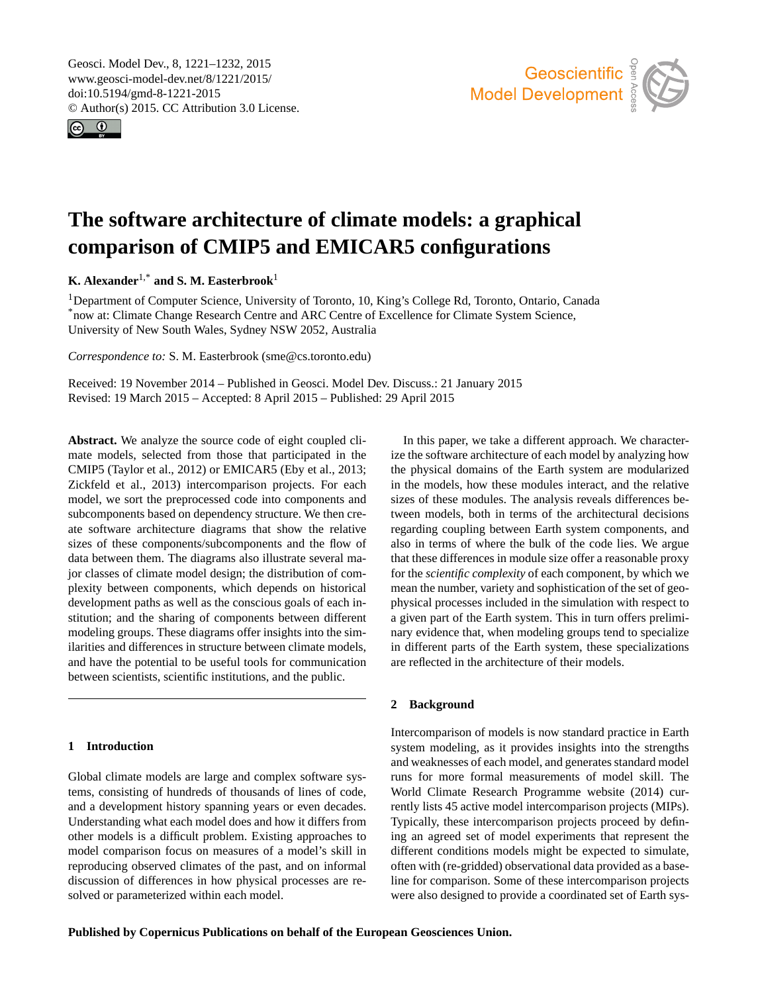<span id="page-0-1"></span>Geosci. Model Dev., 8, 1221–1232, 2015 www.geosci-model-dev.net/8/1221/2015/ doi:10.5194/gmd-8-1221-2015 © Author(s) 2015. CC Attribution 3.0 License.





# **The software architecture of climate models: a graphical comparison of CMIP5 and EMICAR5 configurations**

**K. Alexander**[1,\\*](#page-0-0) **and S. M. Easterbrook**[1](#page-0-0)

<sup>1</sup>Department of Computer Science, University of Toronto, 10, King's College Rd, Toronto, Ontario, Canada \*now at: Climate Change Research Centre and ARC Centre of Excellence for Climate System Science, University of New South Wales, Sydney NSW 2052, Australia

*Correspondence to:* S. M. Easterbrook (sme@cs.toronto.edu)

Received: 19 November 2014 – Published in Geosci. Model Dev. Discuss.: 21 January 2015 Revised: 19 March 2015 – Accepted: 8 April 2015 – Published: 29 April 2015

<span id="page-0-0"></span>**Abstract.** We analyze the source code of eight coupled climate models, selected from those that participated in the CMIP5 [\(Taylor et al.,](#page-10-0) [2012\)](#page-10-0) or EMICAR5 [\(Eby et al.,](#page-9-0) [2013;](#page-9-0) [Zickfeld et al.,](#page-11-0) [2013\)](#page-11-0) intercomparison projects. For each model, we sort the preprocessed code into components and subcomponents based on dependency structure. We then create software architecture diagrams that show the relative sizes of these components/subcomponents and the flow of data between them. The diagrams also illustrate several major classes of climate model design; the distribution of complexity between components, which depends on historical development paths as well as the conscious goals of each institution; and the sharing of components between different modeling groups. These diagrams offer insights into the similarities and differences in structure between climate models, and have the potential to be useful tools for communication between scientists, scientific institutions, and the public.

# **1 Introduction**

Global climate models are large and complex software systems, consisting of hundreds of thousands of lines of code, and a development history spanning years or even decades. Understanding what each model does and how it differs from other models is a difficult problem. Existing approaches to model comparison focus on measures of a model's skill in reproducing observed climates of the past, and on informal discussion of differences in how physical processes are resolved or parameterized within each model.

In this paper, we take a different approach. We characterize the software architecture of each model by analyzing how the physical domains of the Earth system are modularized in the models, how these modules interact, and the relative sizes of these modules. The analysis reveals differences between models, both in terms of the architectural decisions regarding coupling between Earth system components, and also in terms of where the bulk of the code lies. We argue that these differences in module size offer a reasonable proxy for the *scientific complexity* of each component, by which we mean the number, variety and sophistication of the set of geophysical processes included in the simulation with respect to a given part of the Earth system. This in turn offers preliminary evidence that, when modeling groups tend to specialize in different parts of the Earth system, these specializations are reflected in the architecture of their models.

# **2 Background**

Intercomparison of models is now standard practice in Earth system modeling, as it provides insights into the strengths and weaknesses of each model, and generates standard model runs for more formal measurements of model skill. The World Climate Research Programme website [\(2014\)](#page-11-1) currently lists 45 active model intercomparison projects (MIPs). Typically, these intercomparison projects proceed by defining an agreed set of model experiments that represent the different conditions models might be expected to simulate, often with (re-gridded) observational data provided as a baseline for comparison. Some of these intercomparison projects were also designed to provide a coordinated set of Earth sys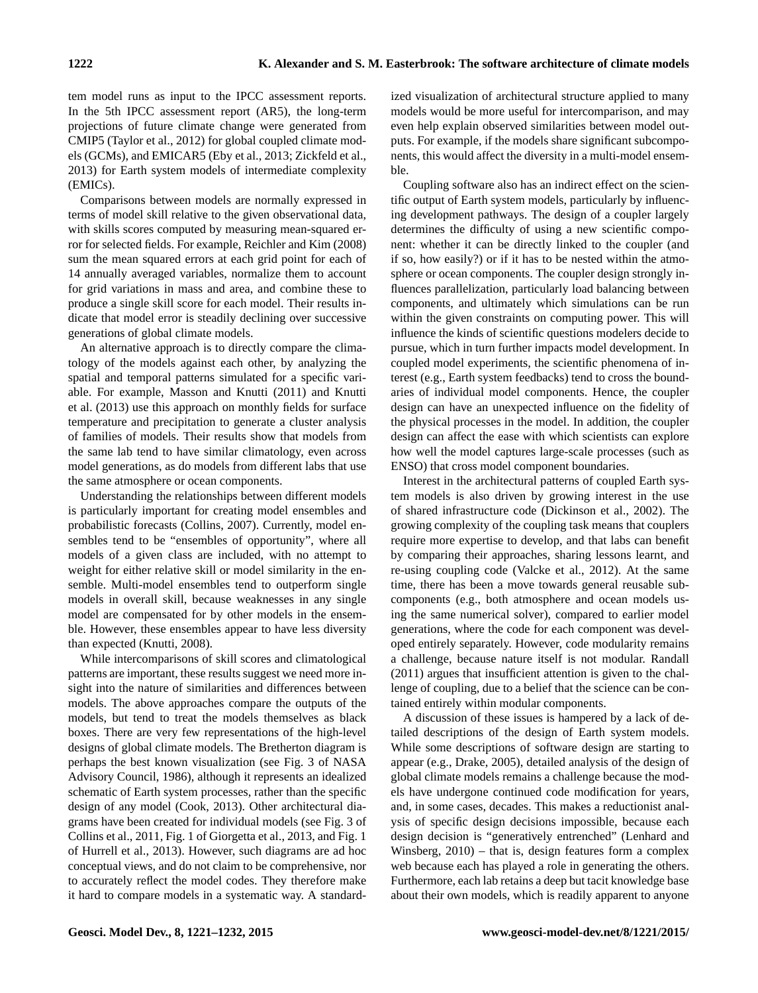tem model runs as input to the IPCC assessment reports. In the 5th IPCC assessment report (AR5), the long-term projections of future climate change were generated from CMIP5 [\(Taylor et al.,](#page-10-0) [2012\)](#page-10-0) for global coupled climate models (GCMs), and EMICAR5 [\(Eby et al.,](#page-9-0) [2013;](#page-9-0) [Zickfeld et al.,](#page-11-0) [2013\)](#page-11-0) for Earth system models of intermediate complexity (EMICs).

Comparisons between models are normally expressed in terms of model skill relative to the given observational data, with skills scores computed by measuring mean-squared error for selected fields. For example, [Reichler and Kim](#page-10-1) [\(2008\)](#page-10-1) sum the mean squared errors at each grid point for each of 14 annually averaged variables, normalize them to account for grid variations in mass and area, and combine these to produce a single skill score for each model. Their results indicate that model error is steadily declining over successive generations of global climate models.

An alternative approach is to directly compare the climatology of the models against each other, by analyzing the spatial and temporal patterns simulated for a specific variable. For example, [Masson and Knutti](#page-10-2) [\(2011\)](#page-10-2) and [Knutti](#page-10-3) [et al.](#page-10-3) [\(2013\)](#page-10-3) use this approach on monthly fields for surface temperature and precipitation to generate a cluster analysis of families of models. Their results show that models from the same lab tend to have similar climatology, even across model generations, as do models from different labs that use the same atmosphere or ocean components.

Understanding the relationships between different models is particularly important for creating model ensembles and probabilistic forecasts [\(Collins,](#page-9-1) [2007\)](#page-9-1). Currently, model ensembles tend to be "ensembles of opportunity", where all models of a given class are included, with no attempt to weight for either relative skill or model similarity in the ensemble. Multi-model ensembles tend to outperform single models in overall skill, because weaknesses in any single model are compensated for by other models in the ensemble. However, these ensembles appear to have less diversity than expected [\(Knutti,](#page-10-4) [2008\)](#page-10-4).

While intercomparisons of skill scores and climatological patterns are important, these results suggest we need more insight into the nature of similarities and differences between models. The above approaches compare the outputs of the models, but tend to treat the models themselves as black boxes. There are very few representations of the high-level designs of global climate models. The Bretherton diagram is perhaps the best known visualization (see Fig. 3 of [NASA](#page-10-5) [Advisory Council,](#page-10-5) [1986\)](#page-10-5), although it represents an idealized schematic of Earth system processes, rather than the specific design of any model [\(Cook,](#page-9-2) [2013\)](#page-9-2). Other architectural diagrams have been created for individual models (see Fig. 3 of [Collins et al.,](#page-9-3) [2011,](#page-9-3) Fig. 1 of [Giorgetta et al.,](#page-9-4) [2013,](#page-9-4) and Fig. 1 of [Hurrell et al.,](#page-10-6) [2013\)](#page-10-6). However, such diagrams are ad hoc conceptual views, and do not claim to be comprehensive, nor to accurately reflect the model codes. They therefore make it hard to compare models in a systematic way. A standard-

ized visualization of architectural structure applied to many models would be more useful for intercomparison, and may even help explain observed similarities between model outputs. For example, if the models share significant subcomponents, this would affect the diversity in a multi-model ensemble.

Coupling software also has an indirect effect on the scientific output of Earth system models, particularly by influencing development pathways. The design of a coupler largely determines the difficulty of using a new scientific component: whether it can be directly linked to the coupler (and if so, how easily?) or if it has to be nested within the atmosphere or ocean components. The coupler design strongly influences parallelization, particularly load balancing between components, and ultimately which simulations can be run within the given constraints on computing power. This will influence the kinds of scientific questions modelers decide to pursue, which in turn further impacts model development. In coupled model experiments, the scientific phenomena of interest (e.g., Earth system feedbacks) tend to cross the boundaries of individual model components. Hence, the coupler design can have an unexpected influence on the fidelity of the physical processes in the model. In addition, the coupler design can affect the ease with which scientists can explore how well the model captures large-scale processes (such as ENSO) that cross model component boundaries.

Interest in the architectural patterns of coupled Earth system models is also driven by growing interest in the use of shared infrastructure code [\(Dickinson et al.,](#page-9-5) [2002\)](#page-9-5). The growing complexity of the coupling task means that couplers require more expertise to develop, and that labs can benefit by comparing their approaches, sharing lessons learnt, and re-using coupling code [\(Valcke et al.,](#page-10-7) [2012\)](#page-10-7). At the same time, there has been a move towards general reusable subcomponents (e.g., both atmosphere and ocean models using the same numerical solver), compared to earlier model generations, where the code for each component was developed entirely separately. However, code modularity remains a challenge, because nature itself is not modular. [Randall](#page-10-8) [\(2011\)](#page-10-8) argues that insufficient attention is given to the challenge of coupling, due to a belief that the science can be contained entirely within modular components.

A discussion of these issues is hampered by a lack of detailed descriptions of the design of Earth system models. While some descriptions of software design are starting to appear (e.g., [Drake,](#page-9-6) [2005\)](#page-9-6), detailed analysis of the design of global climate models remains a challenge because the models have undergone continued code modification for years, and, in some cases, decades. This makes a reductionist analysis of specific design decisions impossible, because each design decision is "generatively entrenched" [\(Lenhard and](#page-10-9) [Winsberg,](#page-10-9) [2010\)](#page-10-9) – that is, design features form a complex web because each has played a role in generating the others. Furthermore, each lab retains a deep but tacit knowledge base about their own models, which is readily apparent to anyone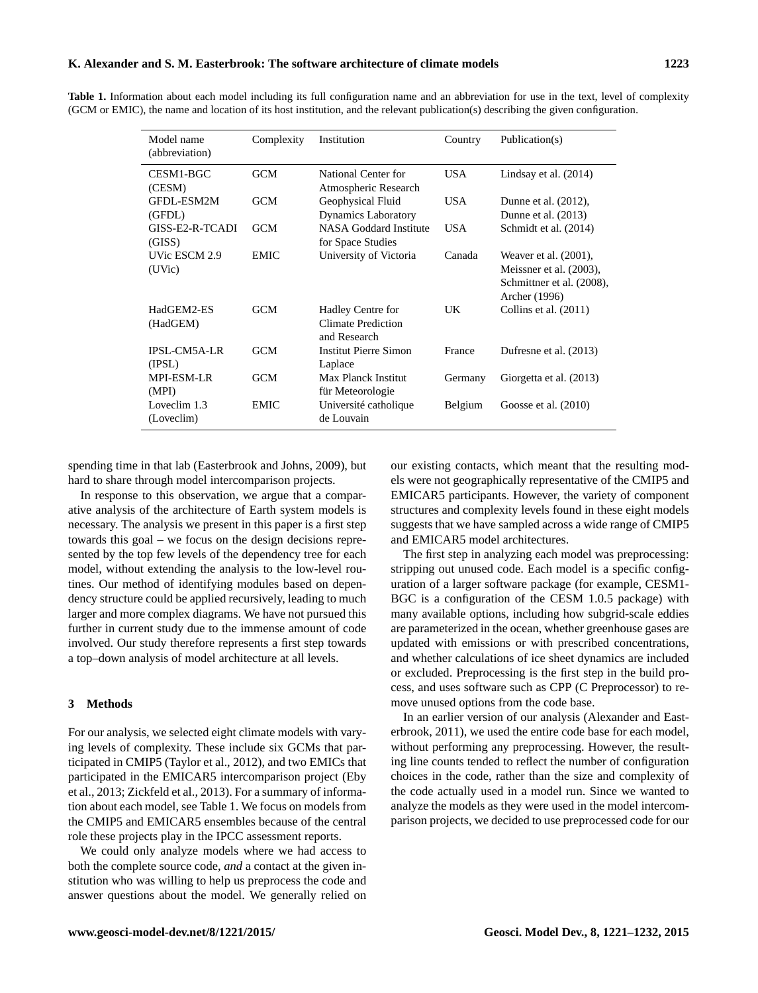| Model name<br>(abbreviation)  | Complexity  | Institution                                             | Country    | Publication(s)                                                                                 |
|-------------------------------|-------------|---------------------------------------------------------|------------|------------------------------------------------------------------------------------------------|
| CESM1-BGC<br>(CESM)           | <b>GCM</b>  | National Center for<br>Atmospheric Research             | <b>USA</b> | Lindsay et al. $(2014)$                                                                        |
| GFDL-ESM2M<br>(GFDL)          | <b>GCM</b>  | Geophysical Fluid<br><b>Dynamics Laboratory</b>         | <b>USA</b> | Dunne et al. (2012),<br>Dunne et al. $(2013)$                                                  |
| GISS-E2-R-TCADI<br>(GISS)     | <b>GCM</b>  | NASA Goddard Institute<br>for Space Studies             | USA.       | Schmidt et al. (2014)                                                                          |
| UVic ESCM 2.9<br>(UVic)       | <b>EMIC</b> | University of Victoria                                  | Canada     | Weaver et al. (2001),<br>Meissner et al. (2003),<br>Schmittner et al. (2008),<br>Archer (1996) |
| HadGEM2-ES<br>(HadGEM)        | <b>GCM</b>  | Hadley Centre for<br>Climate Prediction<br>and Research | UK         | Collins et al. (2011)                                                                          |
| <b>IPSL-CM5A-LR</b><br>(IPSL) | <b>GCM</b>  | <b>Institut Pierre Simon</b><br>Laplace                 | France     | Dufresne et al. (2013)                                                                         |
| <b>MPI-ESM-LR</b><br>(MPI)    | <b>GCM</b>  | Max Planck Institut<br>für Meteorologie                 | Germany    | Giorgetta et al. (2013)                                                                        |
| Loveclim 1.3<br>(Loveclim)    | <b>EMIC</b> | Université catholique<br>de Louvain                     | Belgium    | Goosse et al. (2010)                                                                           |
|                               |             |                                                         |            |                                                                                                |

<span id="page-2-0"></span>Table 1. Information about each model including its full configuration name and an abbreviation for use in the text, level of complexity (GCM or EMIC), the name and location of its host institution, and the relevant publication(s) describing the given configuration.

spending time in that lab [\(Easterbrook and Johns,](#page-9-11) [2009\)](#page-9-11), but hard to share through model intercomparison projects.

In response to this observation, we argue that a comparative analysis of the architecture of Earth system models is necessary. The analysis we present in this paper is a first step towards this goal – we focus on the design decisions represented by the top few levels of the dependency tree for each model, without extending the analysis to the low-level routines. Our method of identifying modules based on dependency structure could be applied recursively, leading to much larger and more complex diagrams. We have not pursued this further in current study due to the immense amount of code involved. Our study therefore represents a first step towards a top–down analysis of model architecture at all levels.

# **3 Methods**

For our analysis, we selected eight climate models with varying levels of complexity. These include six GCMs that participated in CMIP5 [\(Taylor et al.,](#page-10-0) [2012\)](#page-10-0), and two EMICs that participated in the EMICAR5 intercomparison project [\(Eby](#page-9-0) [et al.,](#page-9-0) [2013;](#page-9-0) [Zickfeld et al.,](#page-11-0) [2013\)](#page-11-0). For a summary of information about each model, see Table [1.](#page-2-0) We focus on models from the CMIP5 and EMICAR5 ensembles because of the central role these projects play in the IPCC assessment reports.

We could only analyze models where we had access to both the complete source code, *and* a contact at the given institution who was willing to help us preprocess the code and answer questions about the model. We generally relied on our existing contacts, which meant that the resulting models were not geographically representative of the CMIP5 and EMICAR5 participants. However, the variety of component structures and complexity levels found in these eight models suggests that we have sampled across a wide range of CMIP5 and EMICAR5 model architectures.

The first step in analyzing each model was preprocessing: stripping out unused code. Each model is a specific configuration of a larger software package (for example, CESM1- BGC is a configuration of the CESM 1.0.5 package) with many available options, including how subgrid-scale eddies are parameterized in the ocean, whether greenhouse gases are updated with emissions or with prescribed concentrations, and whether calculations of ice sheet dynamics are included or excluded. Preprocessing is the first step in the build process, and uses software such as CPP (C Preprocessor) to remove unused options from the code base.

In an earlier version of our analysis [\(Alexander and East](#page-9-12)[erbrook,](#page-9-12) [2011\)](#page-9-12), we used the entire code base for each model, without performing any preprocessing. However, the resulting line counts tended to reflect the number of configuration choices in the code, rather than the size and complexity of the code actually used in a model run. Since we wanted to analyze the models as they were used in the model intercomparison projects, we decided to use preprocessed code for our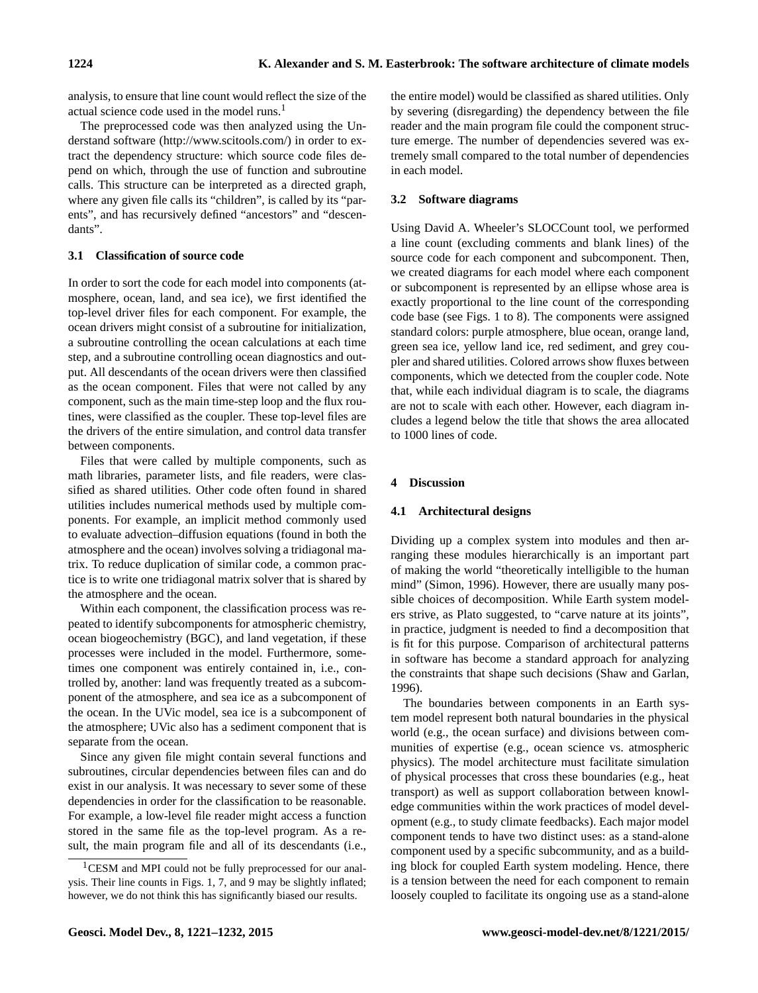analysis, to ensure that line count would reflect the size of the actual science code used in the model runs.<sup>1</sup>

The preprocessed code was then analyzed using the Understand software [\(http://www.scitools.com/\)](http://www.scitools.com/) in order to extract the dependency structure: which source code files depend on which, through the use of function and subroutine calls. This structure can be interpreted as a directed graph, where any given file calls its "children", is called by its "parents", and has recursively defined "ancestors" and "descendants".

#### **3.1 Classification of source code**

In order to sort the code for each model into components (atmosphere, ocean, land, and sea ice), we first identified the top-level driver files for each component. For example, the ocean drivers might consist of a subroutine for initialization, a subroutine controlling the ocean calculations at each time step, and a subroutine controlling ocean diagnostics and output. All descendants of the ocean drivers were then classified as the ocean component. Files that were not called by any component, such as the main time-step loop and the flux routines, were classified as the coupler. These top-level files are the drivers of the entire simulation, and control data transfer between components.

Files that were called by multiple components, such as math libraries, parameter lists, and file readers, were classified as shared utilities. Other code often found in shared utilities includes numerical methods used by multiple components. For example, an implicit method commonly used to evaluate advection–diffusion equations (found in both the atmosphere and the ocean) involves solving a tridiagonal matrix. To reduce duplication of similar code, a common practice is to write one tridiagonal matrix solver that is shared by the atmosphere and the ocean.

Within each component, the classification process was repeated to identify subcomponents for atmospheric chemistry, ocean biogeochemistry (BGC), and land vegetation, if these processes were included in the model. Furthermore, sometimes one component was entirely contained in, i.e., controlled by, another: land was frequently treated as a subcomponent of the atmosphere, and sea ice as a subcomponent of the ocean. In the UVic model, sea ice is a subcomponent of the atmosphere; UVic also has a sediment component that is separate from the ocean.

Since any given file might contain several functions and subroutines, circular dependencies between files can and do exist in our analysis. It was necessary to sever some of these dependencies in order for the classification to be reasonable. For example, a low-level file reader might access a function stored in the same file as the top-level program. As a result, the main program file and all of its descendants (i.e., the entire model) would be classified as shared utilities. Only by severing (disregarding) the dependency between the file reader and the main program file could the component structure emerge. The number of dependencies severed was extremely small compared to the total number of dependencies in each model.

# **3.2 Software diagrams**

Using David A. Wheeler's SLOCCount tool, we performed a line count (excluding comments and blank lines) of the source code for each component and subcomponent. Then, we created diagrams for each model where each component or subcomponent is represented by an ellipse whose area is exactly proportional to the line count of the corresponding code base (see Figs. [1](#page-4-0) to [8\)](#page-5-1). The components were assigned standard colors: purple atmosphere, blue ocean, orange land, green sea ice, yellow land ice, red sediment, and grey coupler and shared utilities. Colored arrows show fluxes between components, which we detected from the coupler code. Note that, while each individual diagram is to scale, the diagrams are not to scale with each other. However, each diagram includes a legend below the title that shows the area allocated to 1000 lines of code.

# **4 Discussion**

## **4.1 Architectural designs**

Dividing up a complex system into modules and then arranging these modules hierarchically is an important part of making the world "theoretically intelligible to the human mind" [\(Simon,](#page-10-15) [1996\)](#page-10-15). However, there are usually many possible choices of decomposition. While Earth system modelers strive, as Plato suggested, to "carve nature at its joints", in practice, judgment is needed to find a decomposition that is fit for this purpose. Comparison of architectural patterns in software has become a standard approach for analyzing the constraints that shape such decisions [\(Shaw and Garlan,](#page-10-16) [1996\)](#page-10-16).

The boundaries between components in an Earth system model represent both natural boundaries in the physical world (e.g., the ocean surface) and divisions between communities of expertise (e.g., ocean science vs. atmospheric physics). The model architecture must facilitate simulation of physical processes that cross these boundaries (e.g., heat transport) as well as support collaboration between knowledge communities within the work practices of model development (e.g., to study climate feedbacks). Each major model component tends to have two distinct uses: as a stand-alone component used by a specific subcommunity, and as a building block for coupled Earth system modeling. Hence, there is a tension between the need for each component to remain loosely coupled to facilitate its ongoing use as a stand-alone

<sup>&</sup>lt;sup>1</sup>CESM and MPI could not be fully preprocessed for our analysis. Their line counts in Figs. [1,](#page-4-0) [7,](#page-5-0) and [9](#page-6-0) may be slightly inflated; however, we do not think this has significantly biased our results.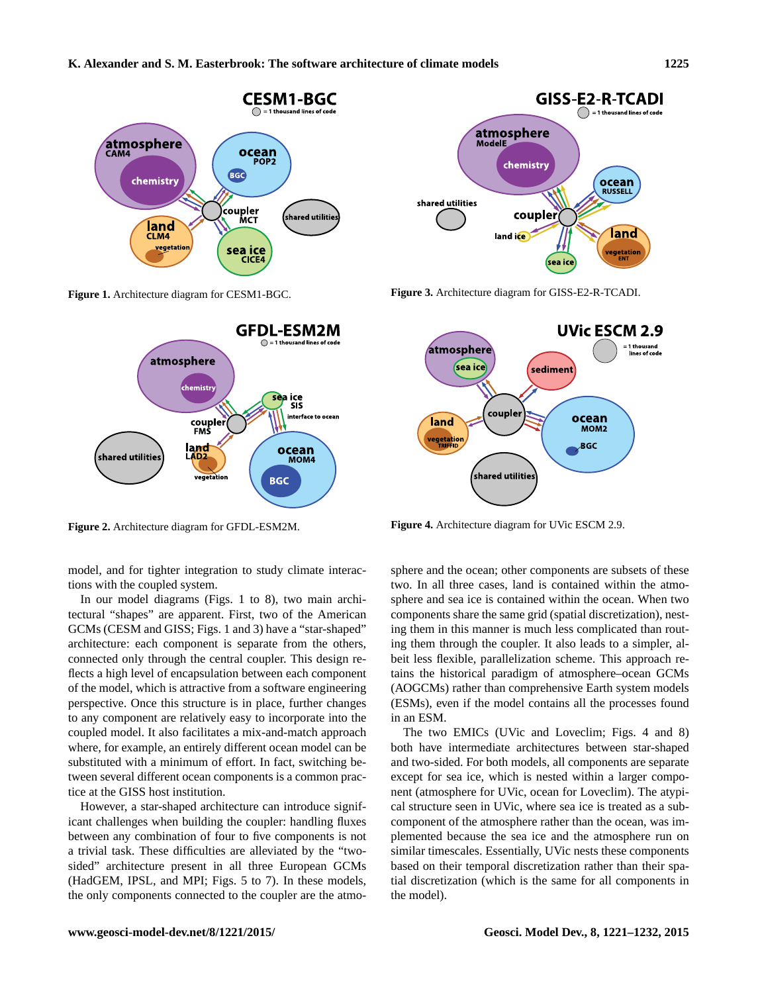<span id="page-4-0"></span>

**Figure 1.** Architecture diagram for CESM1-BGC.

<span id="page-4-3"></span>

**Figure 2.** Architecture diagram for GFDL-ESM2M.

model, and for tighter integration to study climate interactions with the coupled system.

In our model diagrams (Figs. [1](#page-4-0) to [8\)](#page-5-1), two main architectural "shapes" are apparent. First, two of the American GCMs (CESM and GISS; Figs. [1](#page-4-0) and [3\)](#page-4-1) have a "star-shaped" architecture: each component is separate from the others, connected only through the central coupler. This design reflects a high level of encapsulation between each component of the model, which is attractive from a software engineering perspective. Once this structure is in place, further changes to any component are relatively easy to incorporate into the coupled model. It also facilitates a mix-and-match approach where, for example, an entirely different ocean model can be substituted with a minimum of effort. In fact, switching between several different ocean components is a common practice at the GISS host institution.

However, a star-shaped architecture can introduce significant challenges when building the coupler: handling fluxes between any combination of four to five components is not a trivial task. These difficulties are alleviated by the "twosided" architecture present in all three European GCMs (HadGEM, IPSL, and MPI; Figs. [5](#page-5-2) to [7\)](#page-5-0). In these models, the only components connected to the coupler are the atmo-

<span id="page-4-1"></span>

**Figure 3.** Architecture diagram for GISS-E2-R-TCADI.

<span id="page-4-2"></span>

**Figure 4.** Architecture diagram for UVic ESCM 2.9.

sphere and the ocean; other components are subsets of these two. In all three cases, land is contained within the atmosphere and sea ice is contained within the ocean. When two components share the same grid (spatial discretization), nesting them in this manner is much less complicated than routing them through the coupler. It also leads to a simpler, albeit less flexible, parallelization scheme. This approach retains the historical paradigm of atmosphere–ocean GCMs (AOGCMs) rather than comprehensive Earth system models (ESMs), even if the model contains all the processes found in an ESM.

The two EMICs (UVic and Loveclim; Figs. [4](#page-4-2) and [8\)](#page-5-1) both have intermediate architectures between star-shaped and two-sided. For both models, all components are separate except for sea ice, which is nested within a larger component (atmosphere for UVic, ocean for Loveclim). The atypical structure seen in UVic, where sea ice is treated as a subcomponent of the atmosphere rather than the ocean, was implemented because the sea ice and the atmosphere run on similar timescales. Essentially, UVic nests these components based on their temporal discretization rather than their spatial discretization (which is the same for all components in the model).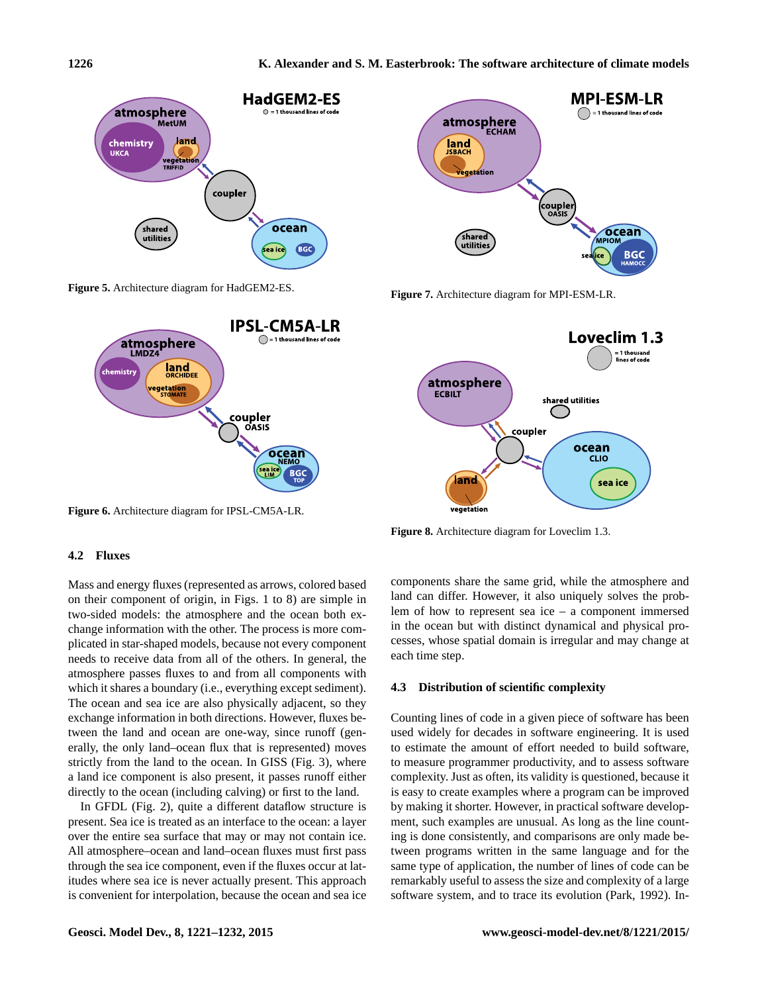<span id="page-5-2"></span>

**Figure 5.** Architecture diagram for HadGEM2-ES.

<span id="page-5-3"></span>

**Figure 6.** Architecture diagram for IPSL-CM5A-LR.

# **4.2 Fluxes**

Mass and energy fluxes (represented as arrows, colored based on their component of origin, in Figs. [1](#page-4-0) to [8\)](#page-5-1) are simple in two-sided models: the atmosphere and the ocean both exchange information with the other. The process is more complicated in star-shaped models, because not every component needs to receive data from all of the others. In general, the atmosphere passes fluxes to and from all components with which it shares a boundary (i.e., everything except sediment). The ocean and sea ice are also physically adjacent, so they exchange information in both directions. However, fluxes between the land and ocean are one-way, since runoff (generally, the only land–ocean flux that is represented) moves strictly from the land to the ocean. In GISS (Fig. [3\)](#page-4-1), where a land ice component is also present, it passes runoff either directly to the ocean (including calving) or first to the land.

In GFDL (Fig. [2\)](#page-4-3), quite a different dataflow structure is present. Sea ice is treated as an interface to the ocean: a layer over the entire sea surface that may or may not contain ice. All atmosphere–ocean and land–ocean fluxes must first pass through the sea ice component, even if the fluxes occur at latitudes where sea ice is never actually present. This approach is convenient for interpolation, because the ocean and sea ice

<span id="page-5-0"></span>

**Figure 7.** Architecture diagram for MPI-ESM-LR.

<span id="page-5-1"></span>

**Figure 8.** Architecture diagram for Loveclim 1.3.

components share the same grid, while the atmosphere and land can differ. However, it also uniquely solves the problem of how to represent sea ice – a component immersed in the ocean but with distinct dynamical and physical processes, whose spatial domain is irregular and may change at each time step.

#### **4.3 Distribution of scientific complexity**

Counting lines of code in a given piece of software has been used widely for decades in software engineering. It is used to estimate the amount of effort needed to build software, to measure programmer productivity, and to assess software complexity. Just as often, its validity is questioned, because it is easy to create examples where a program can be improved by making it shorter. However, in practical software development, such examples are unusual. As long as the line counting is done consistently, and comparisons are only made between programs written in the same language and for the same type of application, the number of lines of code can be remarkably useful to assess the size and complexity of a large software system, and to trace its evolution [\(Park,](#page-10-17) [1992\)](#page-10-17). In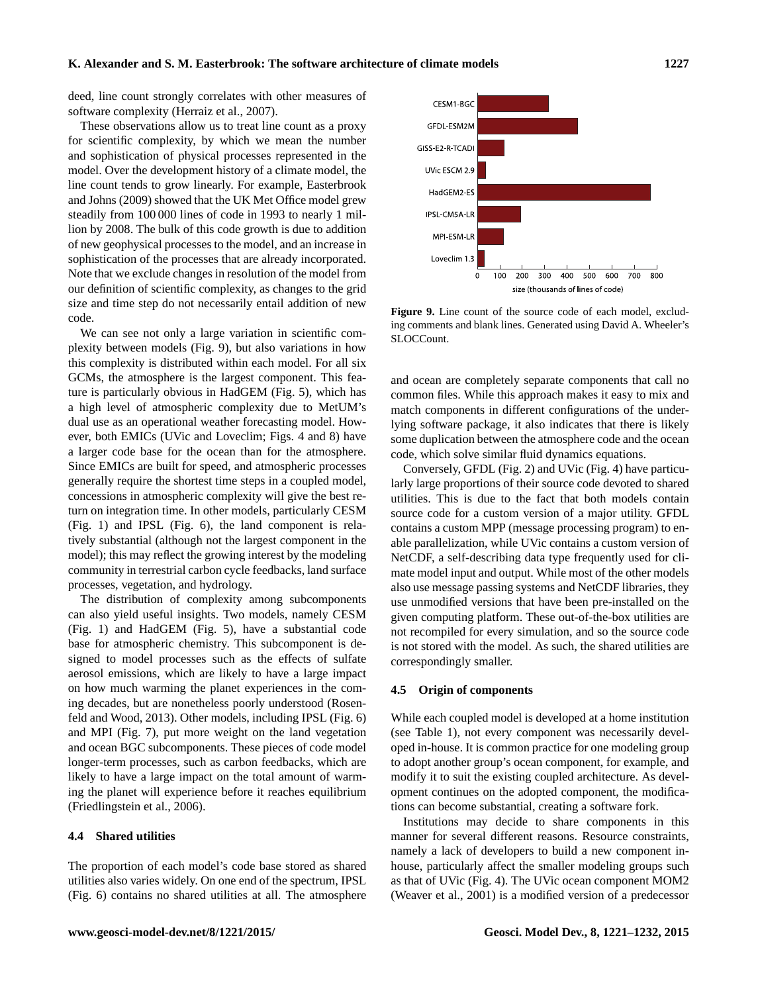deed, line count strongly correlates with other measures of software complexity [\(Herraiz et al.,](#page-10-18) [2007\)](#page-10-18).

These observations allow us to treat line count as a proxy for scientific complexity, by which we mean the number and sophistication of physical processes represented in the model. Over the development history of a climate model, the line count tends to grow linearly. For example, [Easterbrook](#page-9-11) [and Johns](#page-9-11) [\(2009\)](#page-9-11) showed that the UK Met Office model grew steadily from 100 000 lines of code in 1993 to nearly 1 million by 2008. The bulk of this code growth is due to addition of new geophysical processes to the model, and an increase in sophistication of the processes that are already incorporated. Note that we exclude changes in resolution of the model from our definition of scientific complexity, as changes to the grid size and time step do not necessarily entail addition of new code.

We can see not only a large variation in scientific complexity between models (Fig. [9\)](#page-6-0), but also variations in how this complexity is distributed within each model. For all six GCMs, the atmosphere is the largest component. This feature is particularly obvious in HadGEM (Fig. [5\)](#page-5-2), which has a high level of atmospheric complexity due to MetUM's dual use as an operational weather forecasting model. However, both EMICs (UVic and Loveclim; Figs. [4](#page-4-2) and [8\)](#page-5-1) have a larger code base for the ocean than for the atmosphere. Since EMICs are built for speed, and atmospheric processes generally require the shortest time steps in a coupled model, concessions in atmospheric complexity will give the best return on integration time. In other models, particularly CESM (Fig. [1\)](#page-4-0) and IPSL (Fig. [6\)](#page-5-3), the land component is relatively substantial (although not the largest component in the model); this may reflect the growing interest by the modeling community in terrestrial carbon cycle feedbacks, land surface processes, vegetation, and hydrology.

The distribution of complexity among subcomponents can also yield useful insights. Two models, namely CESM (Fig. [1\)](#page-4-0) and HadGEM (Fig. [5\)](#page-5-2), have a substantial code base for atmospheric chemistry. This subcomponent is designed to model processes such as the effects of sulfate aerosol emissions, which are likely to have a large impact on how much warming the planet experiences in the coming decades, but are nonetheless poorly understood [\(Rosen](#page-10-19)[feld and Wood,](#page-10-19) [2013\)](#page-10-19). Other models, including IPSL (Fig. [6\)](#page-5-3) and MPI (Fig. [7\)](#page-5-0), put more weight on the land vegetation and ocean BGC subcomponents. These pieces of code model longer-term processes, such as carbon feedbacks, which are likely to have a large impact on the total amount of warming the planet will experience before it reaches equilibrium [\(Friedlingstein et al.,](#page-9-13) [2006\)](#page-9-13).

# **4.4 Shared utilities**

The proportion of each model's code base stored as shared utilities also varies widely. On one end of the spectrum, IPSL (Fig. [6\)](#page-5-3) contains no shared utilities at all. The atmosphere

<span id="page-6-0"></span>

**Figure 9.** Line count of the source code of each model, excluding comments and blank lines. Generated using David A. Wheeler's SLOCCount.

and ocean are completely separate components that call no common files. While this approach makes it easy to mix and match components in different configurations of the underlying software package, it also indicates that there is likely some duplication between the atmosphere code and the ocean code, which solve similar fluid dynamics equations.

Conversely, GFDL (Fig. [2\)](#page-4-3) and UVic (Fig. [4\)](#page-4-2) have particularly large proportions of their source code devoted to shared utilities. This is due to the fact that both models contain source code for a custom version of a major utility. GFDL contains a custom MPP (message processing program) to enable parallelization, while UVic contains a custom version of NetCDF, a self-describing data type frequently used for climate model input and output. While most of the other models also use message passing systems and NetCDF libraries, they use unmodified versions that have been pre-installed on the given computing platform. These out-of-the-box utilities are not recompiled for every simulation, and so the source code is not stored with the model. As such, the shared utilities are correspondingly smaller.

#### **4.5 Origin of components**

While each coupled model is developed at a home institution (see Table [1\)](#page-2-0), not every component was necessarily developed in-house. It is common practice for one modeling group to adopt another group's ocean component, for example, and modify it to suit the existing coupled architecture. As development continues on the adopted component, the modifications can become substantial, creating a software fork.

Institutions may decide to share components in this manner for several different reasons. Resource constraints, namely a lack of developers to build a new component inhouse, particularly affect the smaller modeling groups such as that of UVic (Fig. [4\)](#page-4-2). The UVic ocean component MOM2 [\(Weaver et al.,](#page-11-2) [2001\)](#page-11-2) is a modified version of a predecessor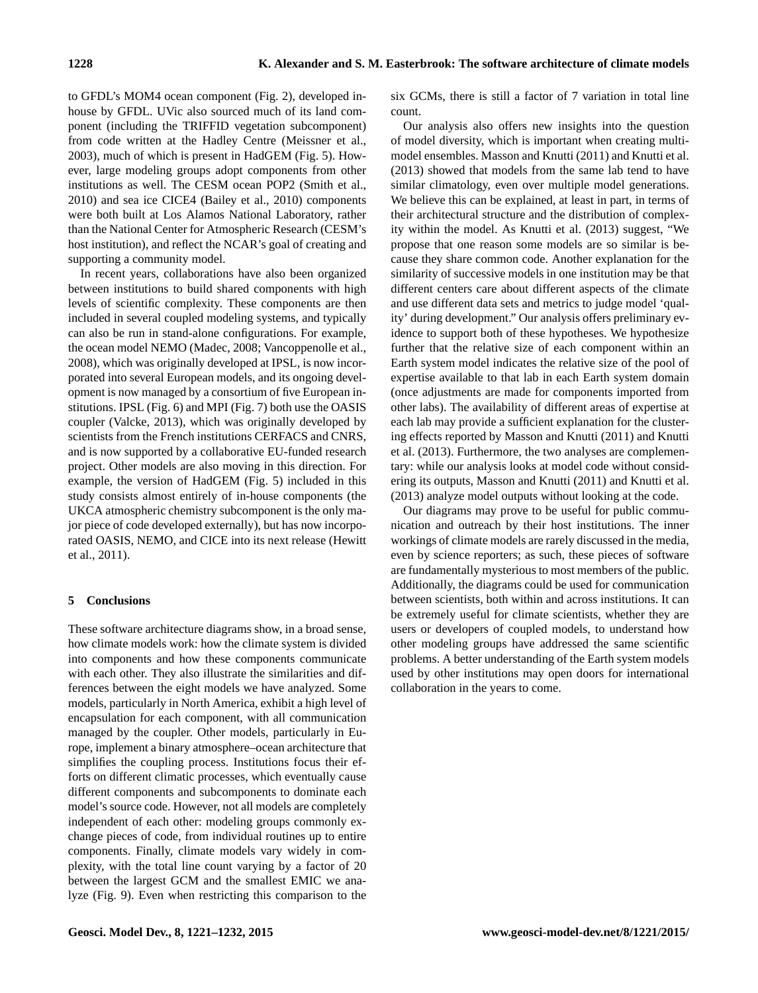to GFDL's MOM4 ocean component (Fig. [2\)](#page-4-3), developed inhouse by GFDL. UVic also sourced much of its land component (including the TRIFFID vegetation subcomponent) from code written at the Hadley Centre [\(Meissner et al.,](#page-10-12) [2003\)](#page-10-12), much of which is present in HadGEM (Fig. [5\)](#page-5-2). However, large modeling groups adopt components from other institutions as well. The CESM ocean POP2 [\(Smith et al.,](#page-10-20) [2010\)](#page-10-20) and sea ice CICE4 [\(Bailey et al.,](#page-9-14) [2010\)](#page-9-14) components were both built at Los Alamos National Laboratory, rather than the National Center for Atmospheric Research (CESM's host institution), and reflect the NCAR's goal of creating and supporting a community model.

In recent years, collaborations have also been organized between institutions to build shared components with high levels of scientific complexity. These components are then included in several coupled modeling systems, and typically can also be run in stand-alone configurations. For example, the ocean model NEMO [\(Madec,](#page-10-21) [2008;](#page-10-21) [Vancoppenolle et al.,](#page-10-22) [2008\)](#page-10-22), which was originally developed at IPSL, is now incorporated into several European models, and its ongoing development is now managed by a consortium of five European institutions. IPSL (Fig. [6\)](#page-5-3) and MPI (Fig. [7\)](#page-5-0) both use the OASIS coupler [\(Valcke,](#page-10-23) [2013\)](#page-10-23), which was originally developed by scientists from the French institutions CERFACS and CNRS, and is now supported by a collaborative EU-funded research project. Other models are also moving in this direction. For example, the version of HadGEM (Fig. [5\)](#page-5-2) included in this study consists almost entirely of in-house components (the UKCA atmospheric chemistry subcomponent is the only major piece of code developed externally), but has now incorporated OASIS, NEMO, and CICE into its next release [\(Hewitt](#page-10-24) [et al.,](#page-10-24) [2011\)](#page-10-24).

## **5 Conclusions**

These software architecture diagrams show, in a broad sense, how climate models work: how the climate system is divided into components and how these components communicate with each other. They also illustrate the similarities and differences between the eight models we have analyzed. Some models, particularly in North America, exhibit a high level of encapsulation for each component, with all communication managed by the coupler. Other models, particularly in Europe, implement a binary atmosphere–ocean architecture that simplifies the coupling process. Institutions focus their efforts on different climatic processes, which eventually cause different components and subcomponents to dominate each model's source code. However, not all models are completely independent of each other: modeling groups commonly exchange pieces of code, from individual routines up to entire components. Finally, climate models vary widely in complexity, with the total line count varying by a factor of 20 between the largest GCM and the smallest EMIC we analyze (Fig. [9\)](#page-6-0). Even when restricting this comparison to the six GCMs, there is still a factor of 7 variation in total line count.

Our analysis also offers new insights into the question of model diversity, which is important when creating multimodel ensembles. [Masson and Knutti](#page-10-2) [\(2011\)](#page-10-2) and [Knutti et al.](#page-10-3) [\(2013\)](#page-10-3) showed that models from the same lab tend to have similar climatology, even over multiple model generations. We believe this can be explained, at least in part, in terms of their architectural structure and the distribution of complexity within the model. As [Knutti et al.](#page-10-3) [\(2013\)](#page-10-3) suggest, "We propose that one reason some models are so similar is because they share common code. Another explanation for the similarity of successive models in one institution may be that different centers care about different aspects of the climate and use different data sets and metrics to judge model 'quality' during development." Our analysis offers preliminary evidence to support both of these hypotheses. We hypothesize further that the relative size of each component within an Earth system model indicates the relative size of the pool of expertise available to that lab in each Earth system domain (once adjustments are made for components imported from other labs). The availability of different areas of expertise at each lab may provide a sufficient explanation for the clustering effects reported by [Masson and Knutti](#page-10-2) [\(2011\)](#page-10-2) and [Knutti](#page-10-3) [et al.](#page-10-3) [\(2013\)](#page-10-3). Furthermore, the two analyses are complementary: while our analysis looks at model code without considering its outputs, [Masson and Knutti](#page-10-2) [\(2011\)](#page-10-2) and [Knutti et al.](#page-10-3) [\(2013\)](#page-10-3) analyze model outputs without looking at the code.

Our diagrams may prove to be useful for public communication and outreach by their host institutions. The inner workings of climate models are rarely discussed in the media, even by science reporters; as such, these pieces of software are fundamentally mysterious to most members of the public. Additionally, the diagrams could be used for communication between scientists, both within and across institutions. It can be extremely useful for climate scientists, whether they are users or developers of coupled models, to understand how other modeling groups have addressed the same scientific problems. A better understanding of the Earth system models used by other institutions may open doors for international collaboration in the years to come.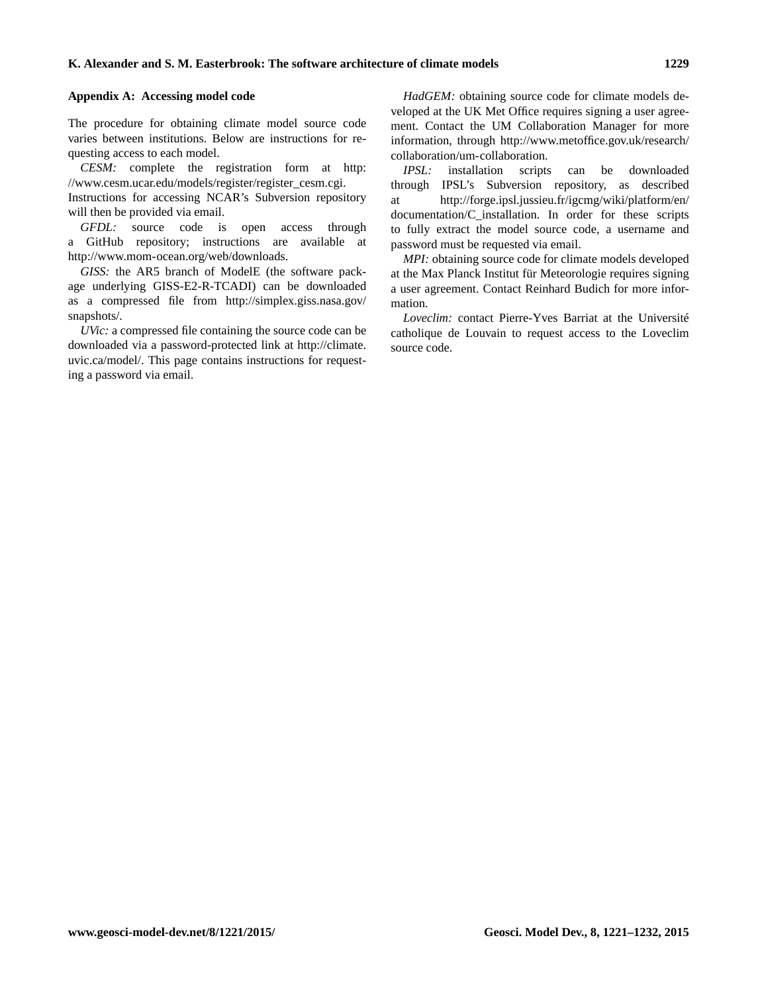# **Appendix A: Accessing model code**

The procedure for obtaining climate model source code varies between institutions. Below are instructions for requesting access to each model.

*CESM:* complete the registration form at [http:](http://www.cesm.ucar.edu/models/register/register_cesm.cgi) [//www.cesm.ucar.edu/models/register/register\\_cesm.cgi.](http://www.cesm.ucar.edu/models/register/register_cesm.cgi)

Instructions for accessing NCAR's Subversion repository will then be provided via email.

*GFDL:* source code is open access through a GitHub repository; instructions are available at [http://www.mom-ocean.org/web/downloads.](http://www.mom-ocean.org/web/downloads)

*GISS:* the AR5 branch of ModelE (the software package underlying GISS-E2-R-TCADI) can be downloaded as a compressed file from [http://simplex.giss.nasa.gov/](http://simplex.giss.nasa.gov/snapshots/) [snapshots/.](http://simplex.giss.nasa.gov/snapshots/)

*UVic:* a compressed file containing the source code can be downloaded via a password-protected link at [http://climate.](http://climate.uvic.ca/model/) [uvic.ca/model/.](http://climate.uvic.ca/model/) This page contains instructions for requesting a password via email.

*HadGEM:* obtaining source code for climate models developed at the UK Met Office requires signing a user agreement. Contact the UM Collaboration Manager for more information, through [http://www.metoffice.gov.uk/research/](http://www.metoffice.gov.uk/research/collaboration/um-collaboration) [collaboration/um-collaboration.](http://www.metoffice.gov.uk/research/collaboration/um-collaboration)

*IPSL:* installation scripts can be downloaded through IPSL's Subversion repository, as described at [http://forge.ipsl.jussieu.fr/igcmg/wiki/platform/en/](http://forge.ipsl.jussieu.fr/igcmg/wiki/platform/en/documentation/C_installation) [documentation/C\\_installation.](http://forge.ipsl.jussieu.fr/igcmg/wiki/platform/en/documentation/C_installation) In order for these scripts to fully extract the model source code, a username and password must be requested via email.

*MPI:* obtaining source code for climate models developed at the Max Planck Institut für Meteorologie requires signing a user agreement. Contact Reinhard Budich for more information.

*Loveclim:* contact Pierre-Yves Barriat at the Université catholique de Louvain to request access to the Loveclim source code.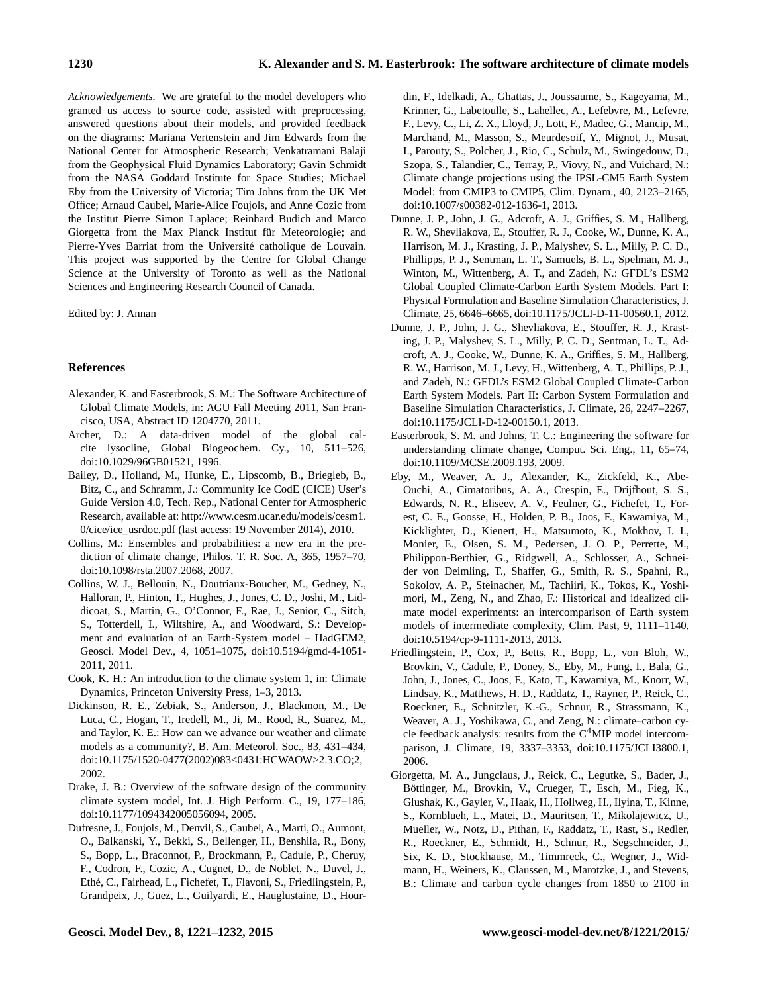*Acknowledgements.* We are grateful to the model developers who granted us access to source code, assisted with preprocessing, answered questions about their models, and provided feedback on the diagrams: Mariana Vertenstein and Jim Edwards from the National Center for Atmospheric Research; Venkatramani Balaji from the Geophysical Fluid Dynamics Laboratory; Gavin Schmidt from the NASA Goddard Institute for Space Studies; Michael Eby from the University of Victoria; Tim Johns from the UK Met Office; Arnaud Caubel, Marie-Alice Foujols, and Anne Cozic from the Institut Pierre Simon Laplace; Reinhard Budich and Marco Giorgetta from the Max Planck Institut für Meteorologie; and Pierre-Yves Barriat from the Université catholique de Louvain. This project was supported by the Centre for Global Change Science at the University of Toronto as well as the National Sciences and Engineering Research Council of Canada.

Edited by: J. Annan

# **References**

- <span id="page-9-12"></span>Alexander, K. and Easterbrook, S. M.: The Software Architecture of Global Climate Models, in: AGU Fall Meeting 2011, San Francisco, USA, Abstract ID 1204770, 2011.
- <span id="page-9-9"></span>Archer, D.: A data-driven model of the global calcite lysocline, Global Biogeochem. Cy., 10, 511–526, doi[:10.1029/96GB01521,](http://dx.doi.org/10.1029/96GB01521) 1996.
- <span id="page-9-14"></span>Bailey, D., Holland, M., Hunke, E., Lipscomb, B., Briegleb, B., Bitz, C., and Schramm, J.: Community Ice CodE (CICE) User's Guide Version 4.0, Tech. Rep., National Center for Atmospheric Research, available at: [http://www.cesm.ucar.edu/models/cesm1.](http://www.cesm.ucar.edu/models/cesm1.0/cice/ice_usrdoc.pdf) [0/cice/ice\\_usrdoc.pdf](http://www.cesm.ucar.edu/models/cesm1.0/cice/ice_usrdoc.pdf) (last access: 19 November 2014), 2010.
- <span id="page-9-1"></span>Collins, M.: Ensembles and probabilities: a new era in the prediction of climate change, Philos. T. R. Soc. A, 365, 1957–70, doi[:10.1098/rsta.2007.2068,](http://dx.doi.org/10.1098/rsta.2007.2068) 2007.
- <span id="page-9-3"></span>Collins, W. J., Bellouin, N., Doutriaux-Boucher, M., Gedney, N., Halloran, P., Hinton, T., Hughes, J., Jones, C. D., Joshi, M., Liddicoat, S., Martin, G., O'Connor, F., Rae, J., Senior, C., Sitch, S., Totterdell, I., Wiltshire, A., and Woodward, S.: Development and evaluation of an Earth-System model – HadGEM2, Geosci. Model Dev., 4, 1051–1075, doi[:10.5194/gmd-4-1051-](http://dx.doi.org/10.5194/gmd-4-1051-2011) [2011,](http://dx.doi.org/10.5194/gmd-4-1051-2011) 2011.
- <span id="page-9-2"></span>Cook, K. H.: An introduction to the climate system 1, in: Climate Dynamics, Princeton University Press, 1–3, 2013.
- <span id="page-9-5"></span>Dickinson, R. E., Zebiak, S., Anderson, J., Blackmon, M., De Luca, C., Hogan, T., Iredell, M., Ji, M., Rood, R., Suarez, M., and Taylor, K. E.: How can we advance our weather and climate models as a community?, B. Am. Meteorol. Soc., 83, 431–434, doi[:10.1175/1520-0477\(2002\)083<0431:HCWAOW>2.3.CO;2,](http://dx.doi.org/10.1175/1520-0477(2002)083<0431:HCWAOW>2.3.CO;2) 2002.
- <span id="page-9-6"></span>Drake, J. B.: Overview of the software design of the community climate system model, Int. J. High Perform. C., 19, 177–186, doi[:10.1177/1094342005056094,](http://dx.doi.org/10.1177/1094342005056094) 2005.
- <span id="page-9-10"></span>Dufresne, J., Foujols, M., Denvil, S., Caubel, A., Marti, O., Aumont, O., Balkanski, Y., Bekki, S., Bellenger, H., Benshila, R., Bony, S., Bopp, L., Braconnot, P., Brockmann, P., Cadule, P., Cheruy, F., Codron, F., Cozic, A., Cugnet, D., de Noblet, N., Duvel, J., Ethé, C., Fairhead, L., Fichefet, T., Flavoni, S., Friedlingstein, P., Grandpeix, J., Guez, L., Guilyardi, E., Hauglustaine, D., Hour-

din, F., Idelkadi, A., Ghattas, J., Joussaume, S., Kageyama, M., Krinner, G., Labetoulle, S., Lahellec, A., Lefebvre, M., Lefevre, F., Levy, C., Li, Z. X., Lloyd, J., Lott, F., Madec, G., Mancip, M., Marchand, M., Masson, S., Meurdesoif, Y., Mignot, J., Musat, I., Parouty, S., Polcher, J., Rio, C., Schulz, M., Swingedouw, D., Szopa, S., Talandier, C., Terray, P., Viovy, N., and Vuichard, N.: Climate change projections using the IPSL-CM5 Earth System Model: from CMIP3 to CMIP5, Clim. Dynam., 40, 2123–2165, doi[:10.1007/s00382-012-1636-1,](http://dx.doi.org/10.1007/s00382-012-1636-1) 2013.

- <span id="page-9-7"></span>Dunne, J. P., John, J. G., Adcroft, A. J., Griffies, S. M., Hallberg, R. W., Shevliakova, E., Stouffer, R. J., Cooke, W., Dunne, K. A., Harrison, M. J., Krasting, J. P., Malyshev, S. L., Milly, P. C. D., Phillipps, P. J., Sentman, L. T., Samuels, B. L., Spelman, M. J., Winton, M., Wittenberg, A. T., and Zadeh, N.: GFDL's ESM2 Global Coupled Climate-Carbon Earth System Models. Part I: Physical Formulation and Baseline Simulation Characteristics, J. Climate, 25, 6646–6665, doi[:10.1175/JCLI-D-11-00560.1,](http://dx.doi.org/10.1175/JCLI-D-11-00560.1) 2012.
- <span id="page-9-8"></span>Dunne, J. P., John, J. G., Shevliakova, E., Stouffer, R. J., Krasting, J. P., Malyshev, S. L., Milly, P. C. D., Sentman, L. T., Adcroft, A. J., Cooke, W., Dunne, K. A., Griffies, S. M., Hallberg, R. W., Harrison, M. J., Levy, H., Wittenberg, A. T., Phillips, P. J., and Zadeh, N.: GFDL's ESM2 Global Coupled Climate-Carbon Earth System Models. Part II: Carbon System Formulation and Baseline Simulation Characteristics, J. Climate, 26, 2247–2267, doi[:10.1175/JCLI-D-12-00150.1,](http://dx.doi.org/10.1175/JCLI-D-12-00150.1) 2013.
- <span id="page-9-11"></span>Easterbrook, S. M. and Johns, T. C.: Engineering the software for understanding climate change, Comput. Sci. Eng., 11, 65–74, doi[:10.1109/MCSE.2009.193,](http://dx.doi.org/10.1109/MCSE.2009.193) 2009.
- <span id="page-9-0"></span>Eby, M., Weaver, A. J., Alexander, K., Zickfeld, K., Abe-Ouchi, A., Cimatoribus, A. A., Crespin, E., Drijfhout, S. S., Edwards, N. R., Eliseev, A. V., Feulner, G., Fichefet, T., Forest, C. E., Goosse, H., Holden, P. B., Joos, F., Kawamiya, M., Kicklighter, D., Kienert, H., Matsumoto, K., Mokhov, I. I., Monier, E., Olsen, S. M., Pedersen, J. O. P., Perrette, M., Philippon-Berthier, G., Ridgwell, A., Schlosser, A., Schneider von Deimling, T., Shaffer, G., Smith, R. S., Spahni, R., Sokolov, A. P., Steinacher, M., Tachiiri, K., Tokos, K., Yoshimori, M., Zeng, N., and Zhao, F.: Historical and idealized climate model experiments: an intercomparison of Earth system models of intermediate complexity, Clim. Past, 9, 1111–1140, doi[:10.5194/cp-9-1111-2013,](http://dx.doi.org/10.5194/cp-9-1111-2013) 2013.
- <span id="page-9-13"></span>Friedlingstein, P., Cox, P., Betts, R., Bopp, L., von Bloh, W., Brovkin, V., Cadule, P., Doney, S., Eby, M., Fung, I., Bala, G., John, J., Jones, C., Joos, F., Kato, T., Kawamiya, M., Knorr, W., Lindsay, K., Matthews, H. D., Raddatz, T., Rayner, P., Reick, C., Roeckner, E., Schnitzler, K.-G., Schnur, R., Strassmann, K., Weaver, A. J., Yoshikawa, C., and Zeng, N.: climate–carbon cycle feedback analysis: results from the  $C<sup>4</sup>MIP$  model intercomparison, J. Climate, 19, 3337–3353, doi[:10.1175/JCLI3800.1,](http://dx.doi.org/10.1175/JCLI3800.1) 2006.
- <span id="page-9-4"></span>Giorgetta, M. A., Jungclaus, J., Reick, C., Legutke, S., Bader, J., Böttinger, M., Brovkin, V., Crueger, T., Esch, M., Fieg, K., Glushak, K., Gayler, V., Haak, H., Hollweg, H., Ilyina, T., Kinne, S., Kornblueh, L., Matei, D., Mauritsen, T., Mikolajewicz, U., Mueller, W., Notz, D., Pithan, F., Raddatz, T., Rast, S., Redler, R., Roeckner, E., Schmidt, H., Schnur, R., Segschneider, J., Six, K. D., Stockhause, M., Timmreck, C., Wegner, J., Widmann, H., Weiners, K., Claussen, M., Marotzke, J., and Stevens, B.: Climate and carbon cycle changes from 1850 to 2100 in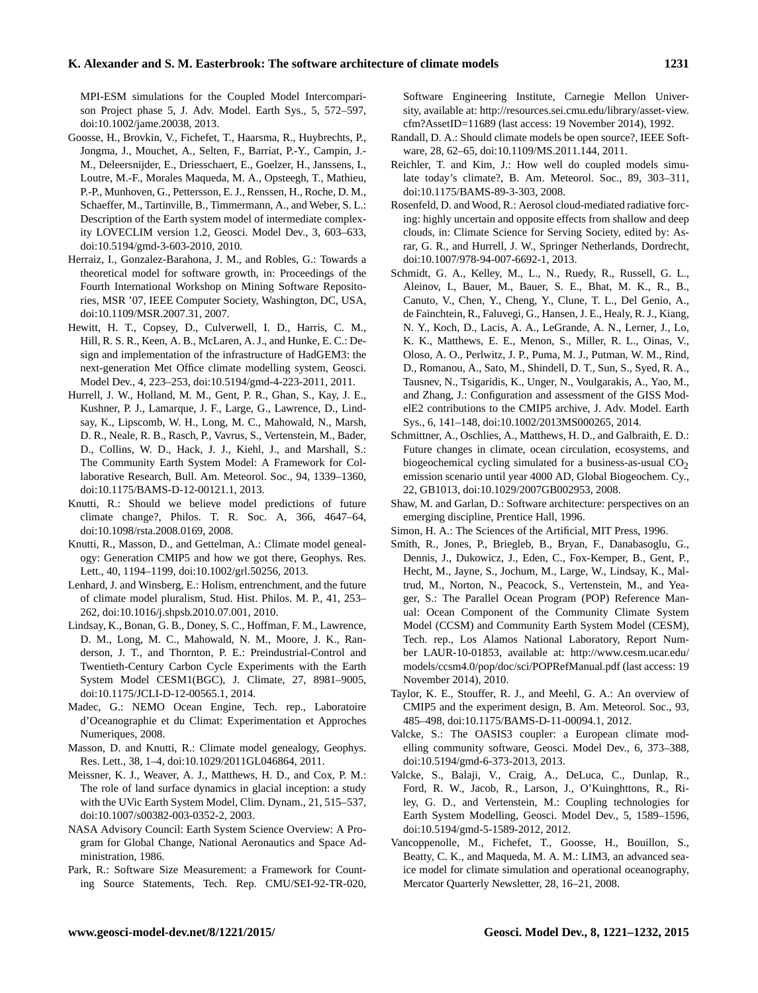MPI-ESM simulations for the Coupled Model Intercomparison Project phase 5, J. Adv. Model. Earth Sys., 5, 572–597, doi[:10.1002/jame.20038,](http://dx.doi.org/10.1002/jame.20038) 2013.

- <span id="page-10-14"></span>Goosse, H., Brovkin, V., Fichefet, T., Haarsma, R., Huybrechts, P., Jongma, J., Mouchet, A., Selten, F., Barriat, P.-Y., Campin, J.- M., Deleersnijder, E., Driesschaert, E., Goelzer, H., Janssens, I., Loutre, M.-F., Morales Maqueda, M. A., Opsteegh, T., Mathieu, P.-P., Munhoven, G., Pettersson, E. J., Renssen, H., Roche, D. M., Schaeffer, M., Tartinville, B., Timmermann, A., and Weber, S. L.: Description of the Earth system model of intermediate complexity LOVECLIM version 1.2, Geosci. Model Dev., 3, 603–633, doi[:10.5194/gmd-3-603-2010,](http://dx.doi.org/10.5194/gmd-3-603-2010) 2010.
- <span id="page-10-18"></span>Herraiz, I., Gonzalez-Barahona, J. M., and Robles, G.: Towards a theoretical model for software growth, in: Proceedings of the Fourth International Workshop on Mining Software Repositories, MSR '07, IEEE Computer Society, Washington, DC, USA, doi[:10.1109/MSR.2007.31,](http://dx.doi.org/10.1109/MSR.2007.31) 2007.
- <span id="page-10-24"></span>Hewitt, H. T., Copsey, D., Culverwell, I. D., Harris, C. M., Hill, R. S. R., Keen, A. B., McLaren, A. J., and Hunke, E. C.: Design and implementation of the infrastructure of HadGEM3: the next-generation Met Office climate modelling system, Geosci. Model Dev., 4, 223–253, doi[:10.5194/gmd-4-223-2011,](http://dx.doi.org/10.5194/gmd-4-223-2011) 2011.
- <span id="page-10-6"></span>Hurrell, J. W., Holland, M. M., Gent, P. R., Ghan, S., Kay, J. E., Kushner, P. J., Lamarque, J. F., Large, G., Lawrence, D., Lindsay, K., Lipscomb, W. H., Long, M. C., Mahowald, N., Marsh, D. R., Neale, R. B., Rasch, P., Vavrus, S., Vertenstein, M., Bader, D., Collins, W. D., Hack, J. J., Kiehl, J., and Marshall, S.: The Community Earth System Model: A Framework for Collaborative Research, Bull. Am. Meteorol. Soc., 94, 1339–1360, doi[:10.1175/BAMS-D-12-00121.1,](http://dx.doi.org/10.1175/BAMS-D-12-00121.1) 2013.
- <span id="page-10-4"></span>Knutti, R.: Should we believe model predictions of future climate change?, Philos. T. R. Soc. A, 366, 4647–64, doi[:10.1098/rsta.2008.0169,](http://dx.doi.org/10.1098/rsta.2008.0169) 2008.
- <span id="page-10-3"></span>Knutti, R., Masson, D., and Gettelman, A.: Climate model genealogy: Generation CMIP5 and how we got there, Geophys. Res. Lett., 40, 1194–1199, doi[:10.1002/grl.50256,](http://dx.doi.org/10.1002/grl.50256) 2013.
- <span id="page-10-9"></span>Lenhard, J. and Winsberg, E.: Holism, entrenchment, and the future of climate model pluralism, Stud. Hist. Philos. M. P., 41, 253– 262, doi[:10.1016/j.shpsb.2010.07.001,](http://dx.doi.org/10.1016/j.shpsb.2010.07.001) 2010.
- <span id="page-10-10"></span>Lindsay, K., Bonan, G. B., Doney, S. C., Hoffman, F. M., Lawrence, D. M., Long, M. C., Mahowald, N. M., Moore, J. K., Randerson, J. T., and Thornton, P. E.: Preindustrial-Control and Twentieth-Century Carbon Cycle Experiments with the Earth System Model CESM1(BGC), J. Climate, 27, 8981–9005, doi[:10.1175/JCLI-D-12-00565.1,](http://dx.doi.org/10.1175/JCLI-D-12-00565.1) 2014.
- <span id="page-10-21"></span>Madec, G.: NEMO Ocean Engine, Tech. rep., Laboratoire d'Oceanographie et du Climat: Experimentation et Approches Numeriques, 2008.
- <span id="page-10-2"></span>Masson, D. and Knutti, R.: Climate model genealogy, Geophys. Res. Lett., 38, 1–4, doi[:10.1029/2011GL046864,](http://dx.doi.org/10.1029/2011GL046864) 2011.
- <span id="page-10-12"></span>Meissner, K. J., Weaver, A. J., Matthews, H. D., and Cox, P. M.: The role of land surface dynamics in glacial inception: a study with the UVic Earth System Model, Clim. Dynam., 21, 515–537, doi[:10.1007/s00382-003-0352-2,](http://dx.doi.org/10.1007/s00382-003-0352-2) 2003.
- <span id="page-10-5"></span>NASA Advisory Council: Earth System Science Overview: A Program for Global Change, National Aeronautics and Space Administration, 1986.
- <span id="page-10-17"></span>Park, R.: Software Size Measurement: a Framework for Counting Source Statements, Tech. Rep. CMU/SEI-92-TR-020,

Software Engineering Institute, Carnegie Mellon University, available at: [http://resources.sei.cmu.edu/library/asset-view.](http://resources.sei.cmu.edu/library/asset-view.cfm?AssetID=11689) [cfm?AssetID=11689](http://resources.sei.cmu.edu/library/asset-view.cfm?AssetID=11689) (last access: 19 November 2014), 1992.

- <span id="page-10-8"></span>Randall, D. A.: Should climate models be open source?, IEEE Software, 28, 62–65, doi[:10.1109/MS.2011.144,](http://dx.doi.org/10.1109/MS.2011.144) 2011.
- <span id="page-10-1"></span>Reichler, T. and Kim, J.: How well do coupled models simulate today's climate?, B. Am. Meteorol. Soc., 89, 303–311, doi[:10.1175/BAMS-89-3-303,](http://dx.doi.org/10.1175/BAMS-89-3-303) 2008.
- <span id="page-10-19"></span>Rosenfeld, D. and Wood, R.: Aerosol cloud-mediated radiative forcing: highly uncertain and opposite effects from shallow and deep clouds, in: Climate Science for Serving Society, edited by: Asrar, G. R., and Hurrell, J. W., Springer Netherlands, Dordrecht, doi[:10.1007/978-94-007-6692-1,](http://dx.doi.org/10.1007/978-94-007-6692-1) 2013.
- <span id="page-10-11"></span>Schmidt, G. A., Kelley, M., L., N., Ruedy, R., Russell, G. L., Aleinov, I., Bauer, M., Bauer, S. E., Bhat, M. K., R., B., Canuto, V., Chen, Y., Cheng, Y., Clune, T. L., Del Genio, A., de Fainchtein, R., Faluvegi, G., Hansen, J. E., Healy, R. J., Kiang, N. Y., Koch, D., Lacis, A. A., LeGrande, A. N., Lerner, J., Lo, K. K., Matthews, E. E., Menon, S., Miller, R. L., Oinas, V., Oloso, A. O., Perlwitz, J. P., Puma, M. J., Putman, W. M., Rind, D., Romanou, A., Sato, M., Shindell, D. T., Sun, S., Syed, R. A., Tausnev, N., Tsigaridis, K., Unger, N., Voulgarakis, A., Yao, M., and Zhang, J.: Configuration and assessment of the GISS ModelE2 contributions to the CMIP5 archive, J. Adv. Model. Earth Sys., 6, 141–148, doi[:10.1002/2013MS000265,](http://dx.doi.org/10.1002/2013MS000265) 2014.
- <span id="page-10-13"></span>Schmittner, A., Oschlies, A., Matthews, H. D., and Galbraith, E. D.: Future changes in climate, ocean circulation, ecosystems, and biogeochemical cycling simulated for a business-as-usual  $CO<sub>2</sub>$ emission scenario until year 4000 AD, Global Biogeochem. Cy., 22, GB1013, doi[:10.1029/2007GB002953,](http://dx.doi.org/10.1029/2007GB002953) 2008.
- <span id="page-10-16"></span>Shaw, M. and Garlan, D.: Software architecture: perspectives on an emerging discipline, Prentice Hall, 1996.
- <span id="page-10-15"></span>Simon, H. A.: The Sciences of the Artificial, MIT Press, 1996.
- <span id="page-10-20"></span>Smith, R., Jones, P., Briegleb, B., Bryan, F., Danabasoglu, G., Dennis, J., Dukowicz, J., Eden, C., Fox-Kemper, B., Gent, P., Hecht, M., Jayne, S., Jochum, M., Large, W., Lindsay, K., Maltrud, M., Norton, N., Peacock, S., Vertenstein, M., and Yeager, S.: The Parallel Ocean Program (POP) Reference Manual: Ocean Component of the Community Climate System Model (CCSM) and Community Earth System Model (CESM), Tech. rep., Los Alamos National Laboratory, Report Number LAUR-10-01853, available at: [http://www.cesm.ucar.edu/](http://www.cesm.ucar.edu/models/ccsm4.0/pop/doc/sci/POPRefManual.pdf) [models/ccsm4.0/pop/doc/sci/POPRefManual.pdf](http://www.cesm.ucar.edu/models/ccsm4.0/pop/doc/sci/POPRefManual.pdf) (last access: 19 November 2014), 2010.
- <span id="page-10-0"></span>Taylor, K. E., Stouffer, R. J., and Meehl, G. A.: An overview of CMIP5 and the experiment design, B. Am. Meteorol. Soc., 93, 485–498, doi[:10.1175/BAMS-D-11-00094.1,](http://dx.doi.org/10.1175/BAMS-D-11-00094.1) 2012.
- <span id="page-10-23"></span>Valcke, S.: The OASIS3 coupler: a European climate modelling community software, Geosci. Model Dev., 6, 373–388, doi[:10.5194/gmd-6-373-2013,](http://dx.doi.org/10.5194/gmd-6-373-2013) 2013.
- <span id="page-10-7"></span>Valcke, S., Balaji, V., Craig, A., DeLuca, C., Dunlap, R., Ford, R. W., Jacob, R., Larson, J., O'Kuinghttons, R., Riley, G. D., and Vertenstein, M.: Coupling technologies for Earth System Modelling, Geosci. Model Dev., 5, 1589–1596, doi[:10.5194/gmd-5-1589-2012,](http://dx.doi.org/10.5194/gmd-5-1589-2012) 2012.
- <span id="page-10-22"></span>Vancoppenolle, M., Fichefet, T., Goosse, H., Bouillon, S., Beatty, C. K., and Maqueda, M. A. M.: LIM3, an advanced seaice model for climate simulation and operational oceanography, Mercator Quarterly Newsletter, 28, 16–21, 2008.